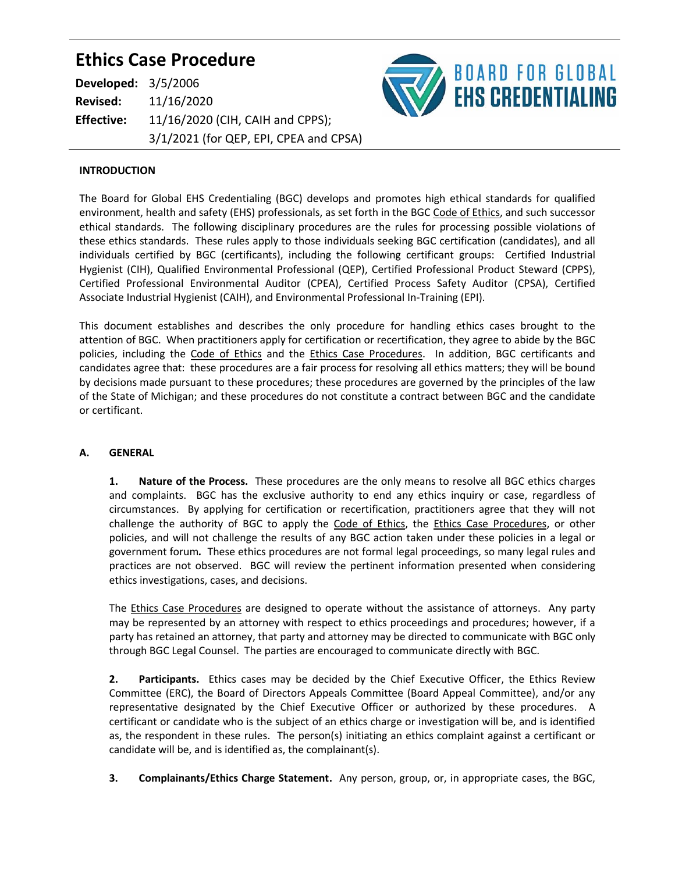# **Ethics Case Procedure**

| <b>Developed: 3/5/2006</b> |                                        |
|----------------------------|----------------------------------------|
| <b>Revised:</b>            | 11/16/2020                             |
| <b>Effective:</b>          | 11/16/2020 (CIH, CAIH and CPPS);       |
|                            | 3/1/2021 (for QEP, EPI, CPEA and CPSA) |



#### **INTRODUCTION**

The Board for Global EHS Credentialing (BGC) develops and promotes high ethical standards for qualified environment, health and safety (EHS) professionals, as set forth in the BGC Code of Ethics, and such successor ethical standards. The following disciplinary procedures are the rules for processing possible violations of these ethics standards. These rules apply to those individuals seeking BGC certification (candidates), and all individuals certified by BGC (certificants), including the following certificant groups: Certified Industrial Hygienist (CIH), Qualified Environmental Professional (QEP), Certified Professional Product Steward (CPPS), Certified Professional Environmental Auditor (CPEA), Certified Process Safety Auditor (CPSA), Certified Associate Industrial Hygienist (CAIH), and Environmental Professional In-Training (EPI).

This document establishes and describes the only procedure for handling ethics cases brought to the attention of BGC. When practitioners apply for certification or recertification, they agree to abide by the BGC policies, including the Code of Ethics and the Ethics Case Procedures. In addition, BGC certificants and candidates agree that: these procedures are a fair process for resolving all ethics matters; they will be bound by decisions made pursuant to these procedures; these procedures are governed by the principles of the law of the State of Michigan; and these procedures do not constitute a contract between BGC and the candidate or certificant.

### **A. GENERAL**

**1. Nature of the Process.** These procedures are the only means to resolve all BGC ethics charges and complaints. BGC has the exclusive authority to end any ethics inquiry or case, regardless of circumstances. By applying for certification or recertification, practitioners agree that they will not challenge the authority of BGC to apply the Code of Ethics, the Ethics Case Procedures, or other policies, and will not challenge the results of any BGC action taken under these policies in a legal or government forum*.* These ethics procedures are not formal legal proceedings, so many legal rules and practices are not observed. BGC will review the pertinent information presented when considering ethics investigations, cases, and decisions.

The Ethics Case Procedures are designed to operate without the assistance of attorneys. Any party may be represented by an attorney with respect to ethics proceedings and procedures; however, if a party has retained an attorney, that party and attorney may be directed to communicate with BGC only through BGC Legal Counsel. The parties are encouraged to communicate directly with BGC.

**2. Participants.** Ethics cases may be decided by the Chief Executive Officer, the Ethics Review Committee (ERC), the Board of Directors Appeals Committee (Board Appeal Committee), and/or any representative designated by the Chief Executive Officer or authorized by these procedures. A certificant or candidate who is the subject of an ethics charge or investigation will be, and is identified as, the respondent in these rules. The person(s) initiating an ethics complaint against a certificant or candidate will be, and is identified as, the complainant(s).

**3. Complainants/Ethics Charge Statement.** Any person, group, or, in appropriate cases, the BGC,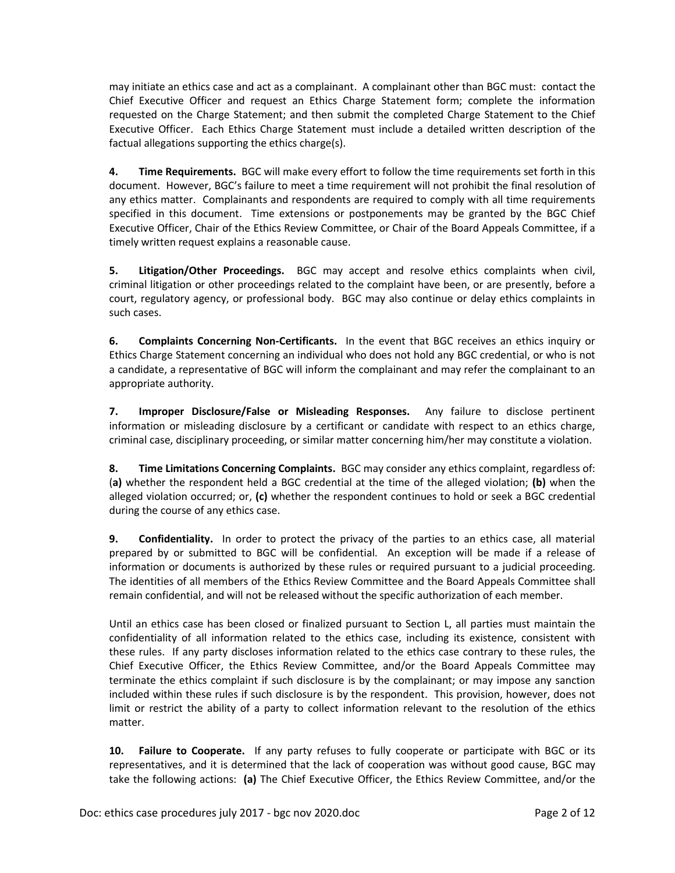may initiate an ethics case and act as a complainant. A complainant other than BGC must: contact the Chief Executive Officer and request an Ethics Charge Statement form; complete the information requested on the Charge Statement; and then submit the completed Charge Statement to the Chief Executive Officer. Each Ethics Charge Statement must include a detailed written description of the factual allegations supporting the ethics charge(s).

**4. Time Requirements.** BGC will make every effort to follow the time requirements set forth in this document. However, BGC's failure to meet a time requirement will not prohibit the final resolution of any ethics matter. Complainants and respondents are required to comply with all time requirements specified in this document. Time extensions or postponements may be granted by the BGC Chief Executive Officer, Chair of the Ethics Review Committee, or Chair of the Board Appeals Committee, if a timely written request explains a reasonable cause.

**5. Litigation/Other Proceedings.** BGC may accept and resolve ethics complaints when civil, criminal litigation or other proceedings related to the complaint have been, or are presently, before a court, regulatory agency, or professional body. BGC may also continue or delay ethics complaints in such cases.

**6. Complaints Concerning Non-Certificants.** In the event that BGC receives an ethics inquiry or Ethics Charge Statement concerning an individual who does not hold any BGC credential, or who is not a candidate, a representative of BGC will inform the complainant and may refer the complainant to an appropriate authority.

**7. Improper Disclosure/False or Misleading Responses.** Any failure to disclose pertinent information or misleading disclosure by a certificant or candidate with respect to an ethics charge, criminal case, disciplinary proceeding, or similar matter concerning him/her may constitute a violation.

**8. Time Limitations Concerning Complaints.** BGC may consider any ethics complaint, regardless of: (**a)** whether the respondent held a BGC credential at the time of the alleged violation; **(b)** when the alleged violation occurred; or, **(c)** whether the respondent continues to hold or seek a BGC credential during the course of any ethics case.

**9. Confidentiality.** In order to protect the privacy of the parties to an ethics case, all material prepared by or submitted to BGC will be confidential. An exception will be made if a release of information or documents is authorized by these rules or required pursuant to a judicial proceeding. The identities of all members of the Ethics Review Committee and the Board Appeals Committee shall remain confidential, and will not be released without the specific authorization of each member.

Until an ethics case has been closed or finalized pursuant to Section L, all parties must maintain the confidentiality of all information related to the ethics case, including its existence, consistent with these rules. If any party discloses information related to the ethics case contrary to these rules, the Chief Executive Officer, the Ethics Review Committee, and/or the Board Appeals Committee may terminate the ethics complaint if such disclosure is by the complainant; or may impose any sanction included within these rules if such disclosure is by the respondent. This provision, however, does not limit or restrict the ability of a party to collect information relevant to the resolution of the ethics matter.

**10. Failure to Cooperate.** If any party refuses to fully cooperate or participate with BGC or its representatives, and it is determined that the lack of cooperation was without good cause, BGC may take the following actions: **(a)** The Chief Executive Officer, the Ethics Review Committee, and/or the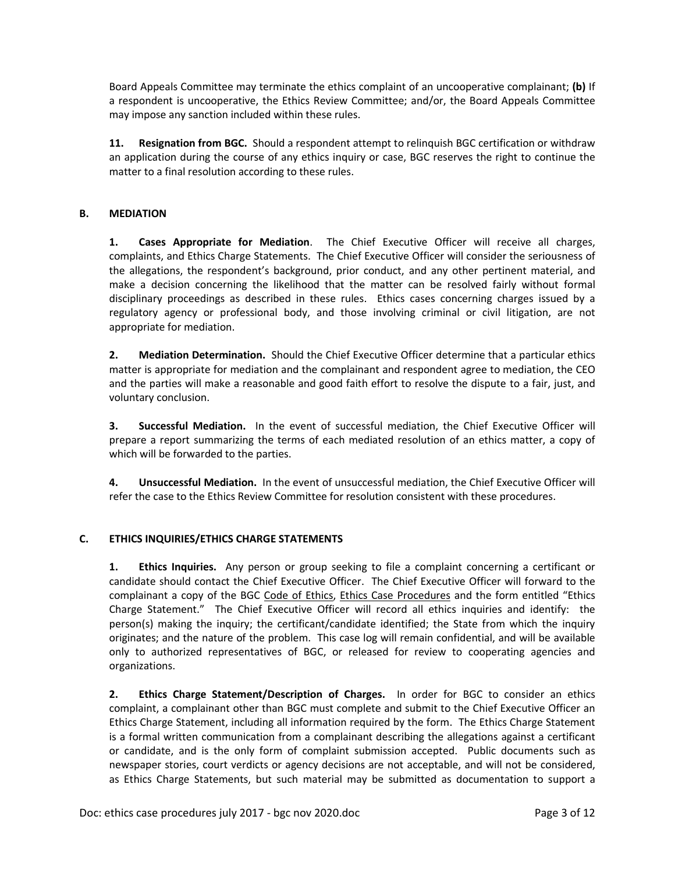Board Appeals Committee may terminate the ethics complaint of an uncooperative complainant; **(b)** If a respondent is uncooperative, the Ethics Review Committee; and/or, the Board Appeals Committee may impose any sanction included within these rules.

**11. Resignation from BGC.** Should a respondent attempt to relinquish BGC certification or withdraw an application during the course of any ethics inquiry or case, BGC reserves the right to continue the matter to a final resolution according to these rules.

## **B. MEDIATION**

**1. Cases Appropriate for Mediation**. The Chief Executive Officer will receive all charges, complaints, and Ethics Charge Statements. The Chief Executive Officer will consider the seriousness of the allegations, the respondent's background, prior conduct, and any other pertinent material, and make a decision concerning the likelihood that the matter can be resolved fairly without formal disciplinary proceedings as described in these rules. Ethics cases concerning charges issued by a regulatory agency or professional body, and those involving criminal or civil litigation, are not appropriate for mediation.

**2. Mediation Determination.** Should the Chief Executive Officer determine that a particular ethics matter is appropriate for mediation and the complainant and respondent agree to mediation, the CEO and the parties will make a reasonable and good faith effort to resolve the dispute to a fair, just, and voluntary conclusion.

**3. Successful Mediation.** In the event of successful mediation, the Chief Executive Officer will prepare a report summarizing the terms of each mediated resolution of an ethics matter, a copy of which will be forwarded to the parties.

**4. Unsuccessful Mediation.** In the event of unsuccessful mediation, the Chief Executive Officer will refer the case to the Ethics Review Committee for resolution consistent with these procedures.

### **C. ETHICS INQUIRIES/ETHICS CHARGE STATEMENTS**

**1. Ethics Inquiries.** Any person or group seeking to file a complaint concerning a certificant or candidate should contact the Chief Executive Officer. The Chief Executive Officer will forward to the complainant a copy of the BGC Code of Ethics, Ethics Case Procedures and the form entitled "Ethics Charge Statement." The Chief Executive Officer will record all ethics inquiries and identify: the person(s) making the inquiry; the certificant/candidate identified; the State from which the inquiry originates; and the nature of the problem. This case log will remain confidential, and will be available only to authorized representatives of BGC, or released for review to cooperating agencies and organizations.

**2. Ethics Charge Statement/Description of Charges.** In order for BGC to consider an ethics complaint, a complainant other than BGC must complete and submit to the Chief Executive Officer an Ethics Charge Statement, including all information required by the form. The Ethics Charge Statement is a formal written communication from a complainant describing the allegations against a certificant or candidate, and is the only form of complaint submission accepted. Public documents such as newspaper stories, court verdicts or agency decisions are not acceptable, and will not be considered, as Ethics Charge Statements, but such material may be submitted as documentation to support a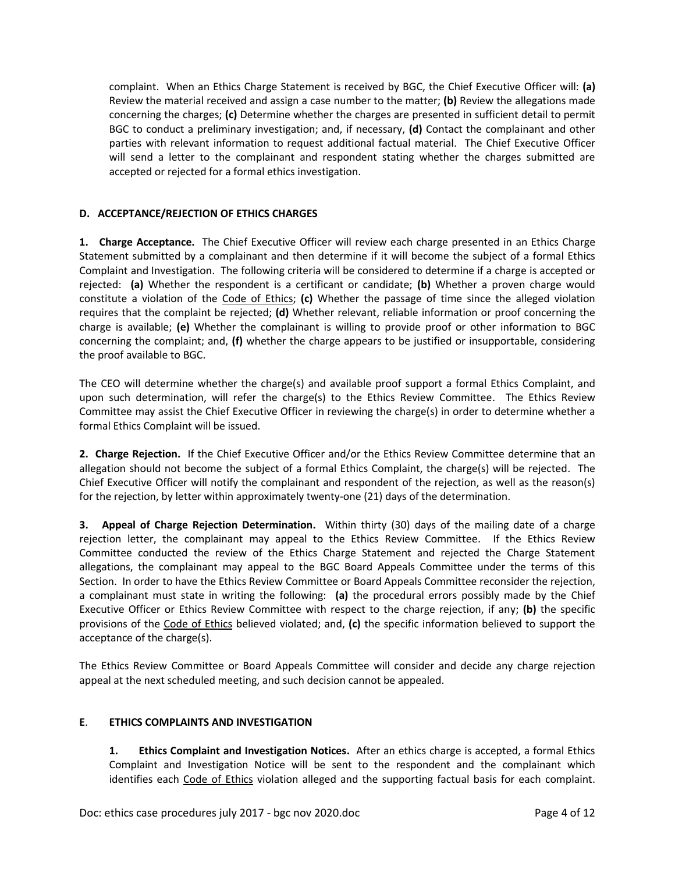complaint. When an Ethics Charge Statement is received by BGC, the Chief Executive Officer will: **(a)** Review the material received and assign a case number to the matter; **(b)** Review the allegations made concerning the charges; **(c)** Determine whether the charges are presented in sufficient detail to permit BGC to conduct a preliminary investigation; and, if necessary, **(d)** Contact the complainant and other parties with relevant information to request additional factual material. The Chief Executive Officer will send a letter to the complainant and respondent stating whether the charges submitted are accepted or rejected for a formal ethics investigation.

#### **D. ACCEPTANCE/REJECTION OF ETHICS CHARGES**

**1. Charge Acceptance.** The Chief Executive Officer will review each charge presented in an Ethics Charge Statement submitted by a complainant and then determine if it will become the subject of a formal Ethics Complaint and Investigation. The following criteria will be considered to determine if a charge is accepted or rejected: **(a)** Whether the respondent is a certificant or candidate; **(b)** Whether a proven charge would constitute a violation of the Code of Ethics; **(c)** Whether the passage of time since the alleged violation requires that the complaint be rejected; **(d)** Whether relevant, reliable information or proof concerning the charge is available; **(e)** Whether the complainant is willing to provide proof or other information to BGC concerning the complaint; and, **(f)** whether the charge appears to be justified or insupportable, considering the proof available to BGC.

The CEO will determine whether the charge(s) and available proof support a formal Ethics Complaint, and upon such determination, will refer the charge(s) to the Ethics Review Committee. The Ethics Review Committee may assist the Chief Executive Officer in reviewing the charge(s) in order to determine whether a formal Ethics Complaint will be issued.

**2. Charge Rejection.** If the Chief Executive Officer and/or the Ethics Review Committee determine that an allegation should not become the subject of a formal Ethics Complaint, the charge(s) will be rejected. The Chief Executive Officer will notify the complainant and respondent of the rejection, as well as the reason(s) for the rejection, by letter within approximately twenty-one (21) days of the determination.

**3. Appeal of Charge Rejection Determination.** Within thirty (30) days of the mailing date of a charge rejection letter, the complainant may appeal to the Ethics Review Committee. If the Ethics Review Committee conducted the review of the Ethics Charge Statement and rejected the Charge Statement allegations, the complainant may appeal to the BGC Board Appeals Committee under the terms of this Section. In order to have the Ethics Review Committee or Board Appeals Committee reconsider the rejection, a complainant must state in writing the following: **(a)** the procedural errors possibly made by the Chief Executive Officer or Ethics Review Committee with respect to the charge rejection, if any; **(b)** the specific provisions of the Code of Ethics believed violated; and, **(c)** the specific information believed to support the acceptance of the charge(s).

The Ethics Review Committee or Board Appeals Committee will consider and decide any charge rejection appeal at the next scheduled meeting, and such decision cannot be appealed.

#### **E**. **ETHICS COMPLAINTS AND INVESTIGATION**

**1. Ethics Complaint and Investigation Notices.** After an ethics charge is accepted, a formal Ethics Complaint and Investigation Notice will be sent to the respondent and the complainant which identifies each Code of Ethics violation alleged and the supporting factual basis for each complaint.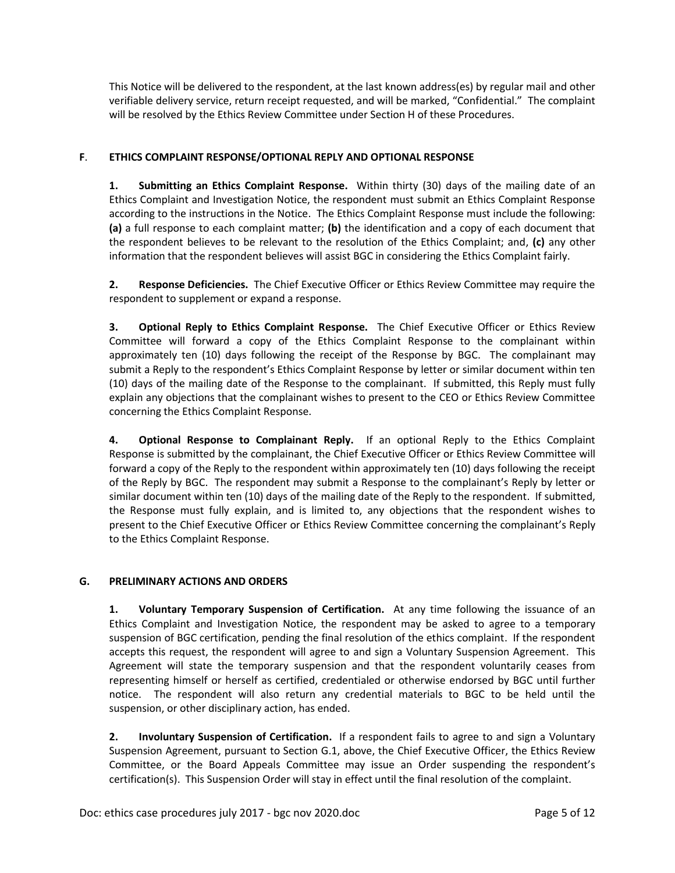This Notice will be delivered to the respondent, at the last known address(es) by regular mail and other verifiable delivery service, return receipt requested, and will be marked, "Confidential." The complaint will be resolved by the Ethics Review Committee under Section H of these Procedures.

## **F**. **ETHICS COMPLAINT RESPONSE/OPTIONAL REPLY AND OPTIONAL RESPONSE**

**1. Submitting an Ethics Complaint Response.** Within thirty (30) days of the mailing date of an Ethics Complaint and Investigation Notice, the respondent must submit an Ethics Complaint Response according to the instructions in the Notice. The Ethics Complaint Response must include the following: **(a)** a full response to each complaint matter; **(b)** the identification and a copy of each document that the respondent believes to be relevant to the resolution of the Ethics Complaint; and, **(c)** any other information that the respondent believes will assist BGC in considering the Ethics Complaint fairly.

**2. Response Deficiencies.** The Chief Executive Officer or Ethics Review Committee may require the respondent to supplement or expand a response.

**3. Optional Reply to Ethics Complaint Response.** The Chief Executive Officer or Ethics Review Committee will forward a copy of the Ethics Complaint Response to the complainant within approximately ten (10) days following the receipt of the Response by BGC. The complainant may submit a Reply to the respondent's Ethics Complaint Response by letter or similar document within ten (10) days of the mailing date of the Response to the complainant. If submitted, this Reply must fully explain any objections that the complainant wishes to present to the CEO or Ethics Review Committee concerning the Ethics Complaint Response.

**4. Optional Response to Complainant Reply.** If an optional Reply to the Ethics Complaint Response is submitted by the complainant, the Chief Executive Officer or Ethics Review Committee will forward a copy of the Reply to the respondent within approximately ten (10) days following the receipt of the Reply by BGC. The respondent may submit a Response to the complainant's Reply by letter or similar document within ten (10) days of the mailing date of the Reply to the respondent. If submitted, the Response must fully explain, and is limited to, any objections that the respondent wishes to present to the Chief Executive Officer or Ethics Review Committee concerning the complainant's Reply to the Ethics Complaint Response.

### **G. PRELIMINARY ACTIONS AND ORDERS**

**1. Voluntary Temporary Suspension of Certification.** At any time following the issuance of an Ethics Complaint and Investigation Notice, the respondent may be asked to agree to a temporary suspension of BGC certification, pending the final resolution of the ethics complaint. If the respondent accepts this request, the respondent will agree to and sign a Voluntary Suspension Agreement. This Agreement will state the temporary suspension and that the respondent voluntarily ceases from representing himself or herself as certified, credentialed or otherwise endorsed by BGC until further notice. The respondent will also return any credential materials to BGC to be held until the suspension, or other disciplinary action, has ended.

**2. Involuntary Suspension of Certification.** If a respondent fails to agree to and sign a Voluntary Suspension Agreement, pursuant to Section G.1, above, the Chief Executive Officer, the Ethics Review Committee, or the Board Appeals Committee may issue an Order suspending the respondent's certification(s). This Suspension Order will stay in effect until the final resolution of the complaint.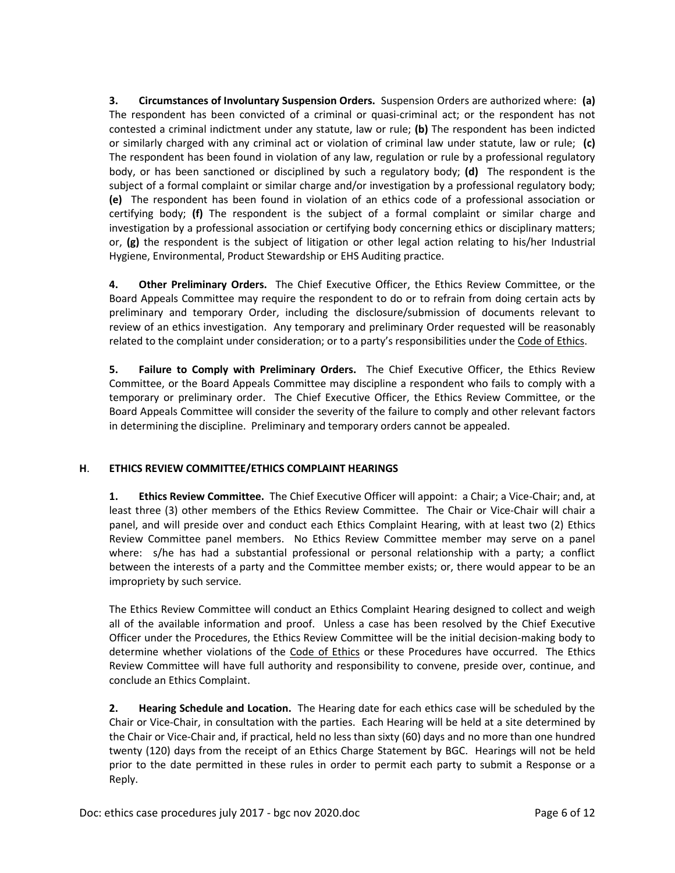**3. Circumstances of Involuntary Suspension Orders.** Suspension Orders are authorized where: **(a)** The respondent has been convicted of a criminal or quasi-criminal act; or the respondent has not contested a criminal indictment under any statute, law or rule; **(b)** The respondent has been indicted or similarly charged with any criminal act or violation of criminal law under statute, law or rule; **(c)**  The respondent has been found in violation of any law, regulation or rule by a professional regulatory body, or has been sanctioned or disciplined by such a regulatory body; **(d)** The respondent is the subject of a formal complaint or similar charge and/or investigation by a professional regulatory body; **(e)** The respondent has been found in violation of an ethics code of a professional association or certifying body; **(f)** The respondent is the subject of a formal complaint or similar charge and investigation by a professional association or certifying body concerning ethics or disciplinary matters; or, **(g)** the respondent is the subject of litigation or other legal action relating to his/her Industrial Hygiene, Environmental, Product Stewardship or EHS Auditing practice.

**4. Other Preliminary Orders.** The Chief Executive Officer, the Ethics Review Committee, or the Board Appeals Committee may require the respondent to do or to refrain from doing certain acts by preliminary and temporary Order, including the disclosure/submission of documents relevant to review of an ethics investigation. Any temporary and preliminary Order requested will be reasonably related to the complaint under consideration; or to a party's responsibilities under the Code of Ethics.

**5. Failure to Comply with Preliminary Orders.** The Chief Executive Officer, the Ethics Review Committee, or the Board Appeals Committee may discipline a respondent who fails to comply with a temporary or preliminary order. The Chief Executive Officer, the Ethics Review Committee, or the Board Appeals Committee will consider the severity of the failure to comply and other relevant factors in determining the discipline. Preliminary and temporary orders cannot be appealed.

### **H**. **ETHICS REVIEW COMMITTEE/ETHICS COMPLAINT HEARINGS**

**1. Ethics Review Committee.** The Chief Executive Officer will appoint: a Chair; a Vice-Chair; and, at least three (3) other members of the Ethics Review Committee. The Chair or Vice-Chair will chair a panel, and will preside over and conduct each Ethics Complaint Hearing, with at least two (2) Ethics Review Committee panel members. No Ethics Review Committee member may serve on a panel where: s/he has had a substantial professional or personal relationship with a party; a conflict between the interests of a party and the Committee member exists; or, there would appear to be an impropriety by such service.

The Ethics Review Committee will conduct an Ethics Complaint Hearing designed to collect and weigh all of the available information and proof. Unless a case has been resolved by the Chief Executive Officer under the Procedures, the Ethics Review Committee will be the initial decision-making body to determine whether violations of the Code of Ethics or these Procedures have occurred. The Ethics Review Committee will have full authority and responsibility to convene, preside over, continue, and conclude an Ethics Complaint.

**2. Hearing Schedule and Location.** The Hearing date for each ethics case will be scheduled by the Chair or Vice-Chair, in consultation with the parties. Each Hearing will be held at a site determined by the Chair or Vice-Chair and, if practical, held no less than sixty (60) days and no more than one hundred twenty (120) days from the receipt of an Ethics Charge Statement by BGC. Hearings will not be held prior to the date permitted in these rules in order to permit each party to submit a Response or a Reply.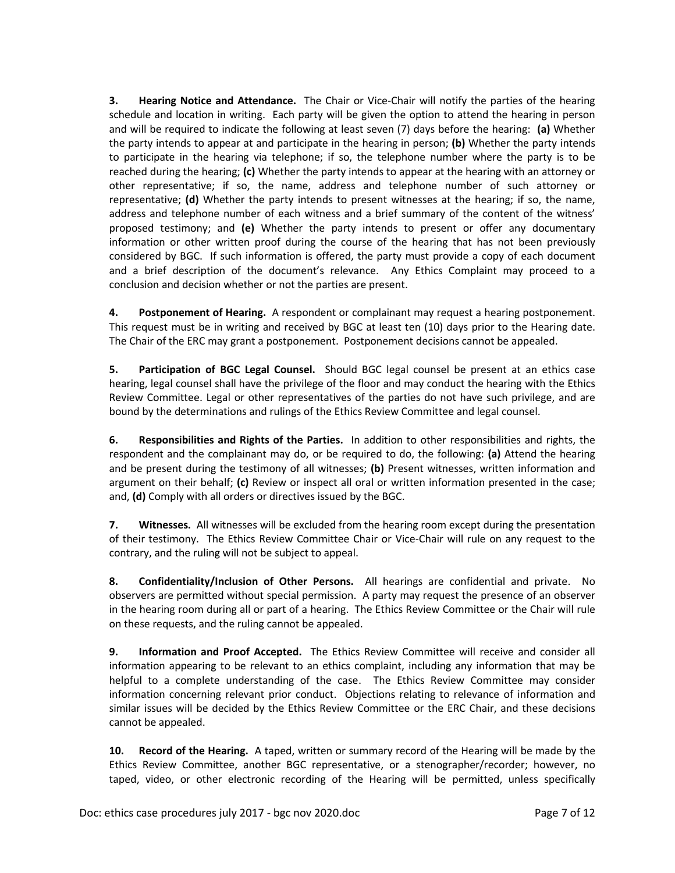**3. Hearing Notice and Attendance.** The Chair or Vice-Chair will notify the parties of the hearing schedule and location in writing. Each party will be given the option to attend the hearing in person and will be required to indicate the following at least seven (7) days before the hearing: **(a)** Whether the party intends to appear at and participate in the hearing in person; **(b)** Whether the party intends to participate in the hearing via telephone; if so, the telephone number where the party is to be reached during the hearing; **(c)** Whether the party intends to appear at the hearing with an attorney or other representative; if so, the name, address and telephone number of such attorney or representative; **(d)** Whether the party intends to present witnesses at the hearing; if so, the name, address and telephone number of each witness and a brief summary of the content of the witness' proposed testimony; and **(e)** Whether the party intends to present or offer any documentary information or other written proof during the course of the hearing that has not been previously considered by BGC. If such information is offered, the party must provide a copy of each document and a brief description of the document's relevance. Any Ethics Complaint may proceed to a conclusion and decision whether or not the parties are present.

**4. Postponement of Hearing.** A respondent or complainant may request a hearing postponement. This request must be in writing and received by BGC at least ten (10) days prior to the Hearing date. The Chair of the ERC may grant a postponement. Postponement decisions cannot be appealed.

**5. Participation of BGC Legal Counsel.** Should BGC legal counsel be present at an ethics case hearing, legal counsel shall have the privilege of the floor and may conduct the hearing with the Ethics Review Committee. Legal or other representatives of the parties do not have such privilege, and are bound by the determinations and rulings of the Ethics Review Committee and legal counsel.

**6. Responsibilities and Rights of the Parties.** In addition to other responsibilities and rights, the respondent and the complainant may do, or be required to do, the following: **(a)** Attend the hearing and be present during the testimony of all witnesses; **(b)** Present witnesses, written information and argument on their behalf; **(c)** Review or inspect all oral or written information presented in the case; and, **(d)** Comply with all orders or directives issued by the BGC.

**7. Witnesses.** All witnesses will be excluded from the hearing room except during the presentation of their testimony. The Ethics Review Committee Chair or Vice-Chair will rule on any request to the contrary, and the ruling will not be subject to appeal.

**8. Confidentiality/Inclusion of Other Persons.** All hearings are confidential and private. No observers are permitted without special permission. A party may request the presence of an observer in the hearing room during all or part of a hearing. The Ethics Review Committee or the Chair will rule on these requests, and the ruling cannot be appealed.

**9. Information and Proof Accepted.** The Ethics Review Committee will receive and consider all information appearing to be relevant to an ethics complaint, including any information that may be helpful to a complete understanding of the case. The Ethics Review Committee may consider information concerning relevant prior conduct. Objections relating to relevance of information and similar issues will be decided by the Ethics Review Committee or the ERC Chair, and these decisions cannot be appealed.

**10. Record of the Hearing.** A taped, written or summary record of the Hearing will be made by the Ethics Review Committee, another BGC representative, or a stenographer/recorder; however, no taped, video, or other electronic recording of the Hearing will be permitted, unless specifically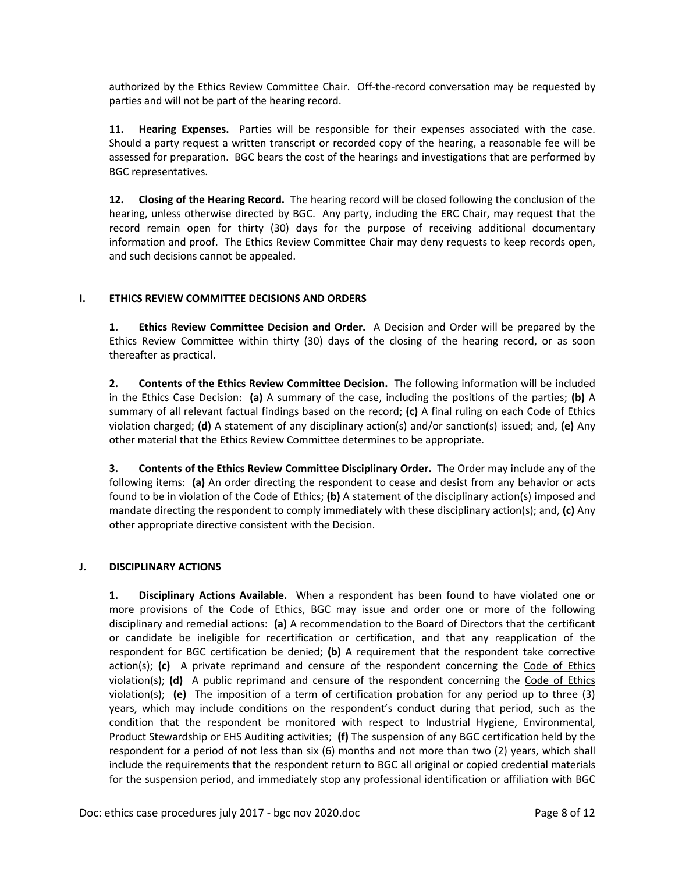authorized by the Ethics Review Committee Chair. Off-the-record conversation may be requested by parties and will not be part of the hearing record.

**11. Hearing Expenses.** Parties will be responsible for their expenses associated with the case. Should a party request a written transcript or recorded copy of the hearing, a reasonable fee will be assessed for preparation. BGC bears the cost of the hearings and investigations that are performed by BGC representatives.

**12. Closing of the Hearing Record.** The hearing record will be closed following the conclusion of the hearing, unless otherwise directed by BGC. Any party, including the ERC Chair, may request that the record remain open for thirty (30) days for the purpose of receiving additional documentary information and proof. The Ethics Review Committee Chair may deny requests to keep records open, and such decisions cannot be appealed.

#### **I. ETHICS REVIEW COMMITTEE DECISIONS AND ORDERS**

**1. Ethics Review Committee Decision and Order.** A Decision and Order will be prepared by the Ethics Review Committee within thirty (30) days of the closing of the hearing record, or as soon thereafter as practical.

**2. Contents of the Ethics Review Committee Decision.** The following information will be included in the Ethics Case Decision: **(a)** A summary of the case, including the positions of the parties; **(b)** A summary of all relevant factual findings based on the record; **(c)** A final ruling on each Code of Ethics violation charged; **(d)** A statement of any disciplinary action(s) and/or sanction(s) issued; and, **(e)** Any other material that the Ethics Review Committee determines to be appropriate.

**3. Contents of the Ethics Review Committee Disciplinary Order.** The Order may include any of the following items: **(a)** An order directing the respondent to cease and desist from any behavior or acts found to be in violation of the Code of Ethics; **(b)** A statement of the disciplinary action(s) imposed and mandate directing the respondent to comply immediately with these disciplinary action(s); and, **(c)** Any other appropriate directive consistent with the Decision.

### **J. DISCIPLINARY ACTIONS**

**1. Disciplinary Actions Available.** When a respondent has been found to have violated one or more provisions of the Code of Ethics, BGC may issue and order one or more of the following disciplinary and remedial actions: **(a)** A recommendation to the Board of Directors that the certificant or candidate be ineligible for recertification or certification, and that any reapplication of the respondent for BGC certification be denied; **(b)** A requirement that the respondent take corrective action(s); **(c)** A private reprimand and censure of the respondent concerning the Code of Ethics violation(s); **(d)** A public reprimand and censure of the respondent concerning the Code of Ethics violation(s); **(e)** The imposition of a term of certification probation for any period up to three (3) years, which may include conditions on the respondent's conduct during that period, such as the condition that the respondent be monitored with respect to Industrial Hygiene, Environmental, Product Stewardship or EHS Auditing activities; **(f)** The suspension of any BGC certification held by the respondent for a period of not less than six (6) months and not more than two (2) years, which shall include the requirements that the respondent return to BGC all original or copied credential materials for the suspension period, and immediately stop any professional identification or affiliation with BGC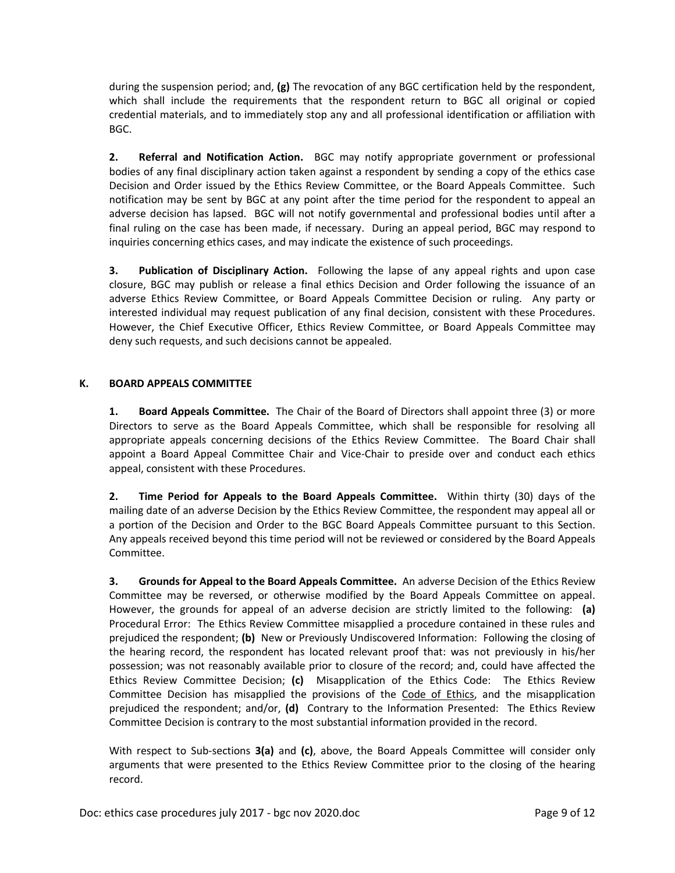during the suspension period; and, **(g)** The revocation of any BGC certification held by the respondent, which shall include the requirements that the respondent return to BGC all original or copied credential materials, and to immediately stop any and all professional identification or affiliation with BGC.

**2. Referral and Notification Action.** BGC may notify appropriate government or professional bodies of any final disciplinary action taken against a respondent by sending a copy of the ethics case Decision and Order issued by the Ethics Review Committee, or the Board Appeals Committee. Such notification may be sent by BGC at any point after the time period for the respondent to appeal an adverse decision has lapsed. BGC will not notify governmental and professional bodies until after a final ruling on the case has been made, if necessary. During an appeal period, BGC may respond to inquiries concerning ethics cases, and may indicate the existence of such proceedings.

**3. Publication of Disciplinary Action.** Following the lapse of any appeal rights and upon case closure, BGC may publish or release a final ethics Decision and Order following the issuance of an adverse Ethics Review Committee, or Board Appeals Committee Decision or ruling. Any party or interested individual may request publication of any final decision, consistent with these Procedures. However, the Chief Executive Officer, Ethics Review Committee, or Board Appeals Committee may deny such requests, and such decisions cannot be appealed.

### **K. BOARD APPEALS COMMITTEE**

**1. Board Appeals Committee.** The Chair of the Board of Directors shall appoint three (3) or more Directors to serve as the Board Appeals Committee, which shall be responsible for resolving all appropriate appeals concerning decisions of the Ethics Review Committee. The Board Chair shall appoint a Board Appeal Committee Chair and Vice-Chair to preside over and conduct each ethics appeal, consistent with these Procedures.

**2. Time Period for Appeals to the Board Appeals Committee.** Within thirty (30) days of the mailing date of an adverse Decision by the Ethics Review Committee, the respondent may appeal all or a portion of the Decision and Order to the BGC Board Appeals Committee pursuant to this Section. Any appeals received beyond this time period will not be reviewed or considered by the Board Appeals Committee.

**3. Grounds for Appeal to the Board Appeals Committee.** An adverse Decision of the Ethics Review Committee may be reversed, or otherwise modified by the Board Appeals Committee on appeal. However, the grounds for appeal of an adverse decision are strictly limited to the following: **(a)**  Procedural Error: The Ethics Review Committee misapplied a procedure contained in these rules and prejudiced the respondent; **(b)** New or Previously Undiscovered Information:Following the closing of the hearing record, the respondent has located relevant proof that: was not previously in his/her possession; was not reasonably available prior to closure of the record; and, could have affected the Ethics Review Committee Decision; **(c)** Misapplication of the Ethics Code: The Ethics Review Committee Decision has misapplied the provisions of the Code of Ethics, and the misapplication prejudiced the respondent; and/or, **(d)** Contrary to the Information Presented: The Ethics Review Committee Decision is contrary to the most substantial information provided in the record.

With respect to Sub-sections **3(a)** and **(c)**, above, the Board Appeals Committee will consider only arguments that were presented to the Ethics Review Committee prior to the closing of the hearing record.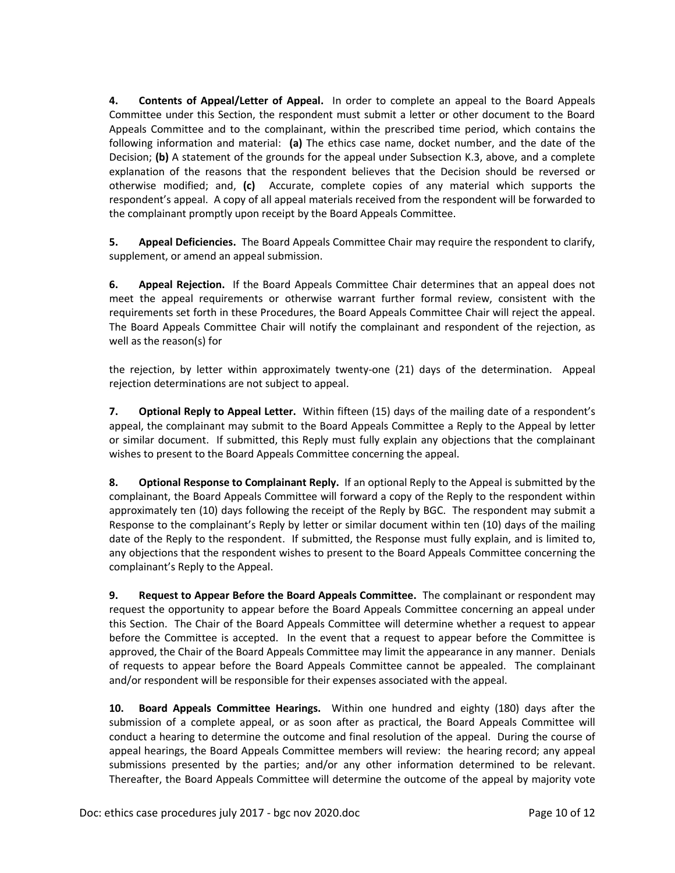**4. Contents of Appeal/Letter of Appeal.** In order to complete an appeal to the Board Appeals Committee under this Section, the respondent must submit a letter or other document to the Board Appeals Committee and to the complainant, within the prescribed time period, which contains the following information and material: **(a)** The ethics case name, docket number, and the date of the Decision; **(b)** A statement of the grounds for the appeal under Subsection K.3, above, and a complete explanation of the reasons that the respondent believes that the Decision should be reversed or otherwise modified; and, **(c)** Accurate, complete copies of any material which supports the respondent's appeal. A copy of all appeal materials received from the respondent will be forwarded to the complainant promptly upon receipt by the Board Appeals Committee.

**5. Appeal Deficiencies.** The Board Appeals Committee Chair may require the respondent to clarify, supplement, or amend an appeal submission.

**6. Appeal Rejection.** If the Board Appeals Committee Chair determines that an appeal does not meet the appeal requirements or otherwise warrant further formal review, consistent with the requirements set forth in these Procedures, the Board Appeals Committee Chair will reject the appeal. The Board Appeals Committee Chair will notify the complainant and respondent of the rejection, as well as the reason(s) for

the rejection, by letter within approximately twenty-one (21) days of the determination. Appeal rejection determinations are not subject to appeal.

**7. Optional Reply to Appeal Letter.** Within fifteen (15) days of the mailing date of a respondent's appeal, the complainant may submit to the Board Appeals Committee a Reply to the Appeal by letter or similar document. If submitted, this Reply must fully explain any objections that the complainant wishes to present to the Board Appeals Committee concerning the appeal.

**8. Optional Response to Complainant Reply.** If an optional Reply to the Appeal is submitted by the complainant, the Board Appeals Committee will forward a copy of the Reply to the respondent within approximately ten (10) days following the receipt of the Reply by BGC. The respondent may submit a Response to the complainant's Reply by letter or similar document within ten (10) days of the mailing date of the Reply to the respondent. If submitted, the Response must fully explain, and is limited to, any objections that the respondent wishes to present to the Board Appeals Committee concerning the complainant's Reply to the Appeal.

**9. Request to Appear Before the Board Appeals Committee.** The complainant or respondent may request the opportunity to appear before the Board Appeals Committee concerning an appeal under this Section. The Chair of the Board Appeals Committee will determine whether a request to appear before the Committee is accepted. In the event that a request to appear before the Committee is approved, the Chair of the Board Appeals Committee may limit the appearance in any manner. Denials of requests to appear before the Board Appeals Committee cannot be appealed. The complainant and/or respondent will be responsible for their expenses associated with the appeal.

**10. Board Appeals Committee Hearings.** Within one hundred and eighty (180) days after the submission of a complete appeal, or as soon after as practical, the Board Appeals Committee will conduct a hearing to determine the outcome and final resolution of the appeal. During the course of appeal hearings, the Board Appeals Committee members will review: the hearing record; any appeal submissions presented by the parties; and/or any other information determined to be relevant. Thereafter, the Board Appeals Committee will determine the outcome of the appeal by majority vote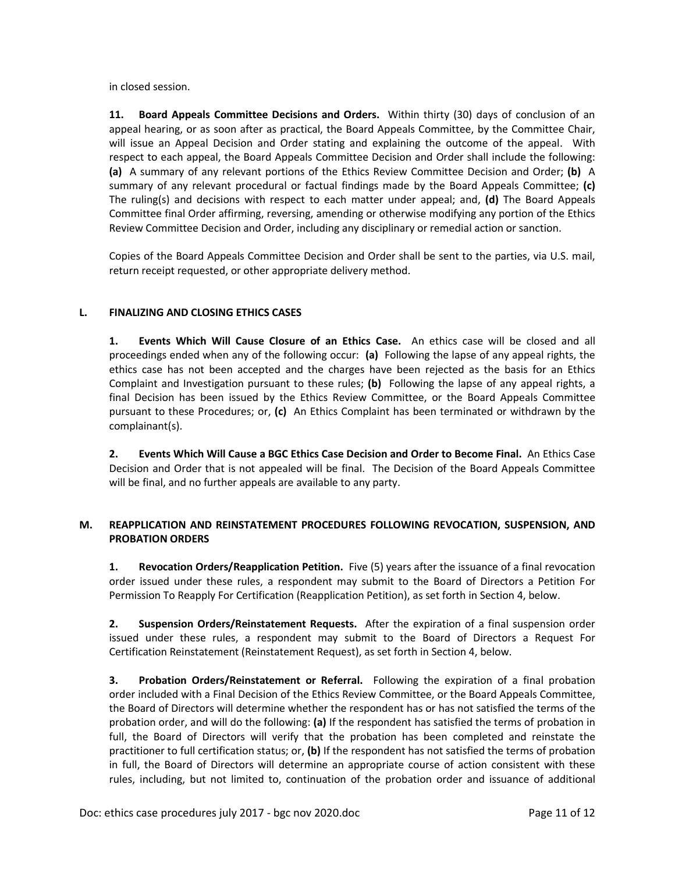in closed session.

**11. Board Appeals Committee Decisions and Orders.** Within thirty (30) days of conclusion of an appeal hearing, or as soon after as practical, the Board Appeals Committee, by the Committee Chair, will issue an Appeal Decision and Order stating and explaining the outcome of the appeal. With respect to each appeal, the Board Appeals Committee Decision and Order shall include the following: **(a)** A summary of any relevant portions of the Ethics Review Committee Decision and Order; **(b)** A summary of any relevant procedural or factual findings made by the Board Appeals Committee; **(c)** The ruling(s) and decisions with respect to each matter under appeal; and, **(d)** The Board Appeals Committee final Order affirming, reversing, amending or otherwise modifying any portion of the Ethics Review Committee Decision and Order, including any disciplinary or remedial action or sanction.

Copies of the Board Appeals Committee Decision and Order shall be sent to the parties, via U.S. mail, return receipt requested, or other appropriate delivery method.

### **L. FINALIZING AND CLOSING ETHICS CASES**

**1. Events Which Will Cause Closure of an Ethics Case.** An ethics case will be closed and all proceedings ended when any of the following occur: **(a)** Following the lapse of any appeal rights, the ethics case has not been accepted and the charges have been rejected as the basis for an Ethics Complaint and Investigation pursuant to these rules; **(b)** Following the lapse of any appeal rights, a final Decision has been issued by the Ethics Review Committee, or the Board Appeals Committee pursuant to these Procedures; or, **(c)** An Ethics Complaint has been terminated or withdrawn by the complainant(s).

**2. Events Which Will Cause a BGC Ethics Case Decision and Order to Become Final.** An Ethics Case Decision and Order that is not appealed will be final. The Decision of the Board Appeals Committee will be final, and no further appeals are available to any party.

### **M. REAPPLICATION AND REINSTATEMENT PROCEDURES FOLLOWING REVOCATION, SUSPENSION, AND PROBATION ORDERS**

**1. Revocation Orders/Reapplication Petition.** Five (5) years after the issuance of a final revocation order issued under these rules, a respondent may submit to the Board of Directors a Petition For Permission To Reapply For Certification (Reapplication Petition), as set forth in Section 4, below.

**2. Suspension Orders/Reinstatement Requests.** After the expiration of a final suspension order issued under these rules, a respondent may submit to the Board of Directors a Request For Certification Reinstatement (Reinstatement Request), as set forth in Section 4, below.

**3. Probation Orders/Reinstatement or Referral.** Following the expiration of a final probation order included with a Final Decision of the Ethics Review Committee, or the Board Appeals Committee, the Board of Directors will determine whether the respondent has or has not satisfied the terms of the probation order, and will do the following: **(a)** If the respondent has satisfied the terms of probation in full, the Board of Directors will verify that the probation has been completed and reinstate the practitioner to full certification status; or, **(b)** If the respondent has not satisfied the terms of probation in full, the Board of Directors will determine an appropriate course of action consistent with these rules, including, but not limited to, continuation of the probation order and issuance of additional